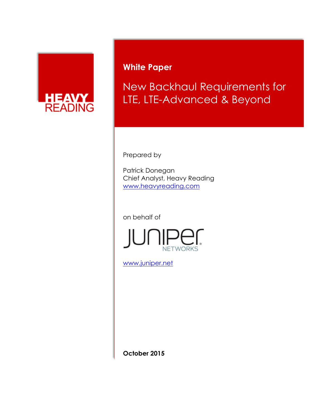

# **White Paper**

New Backhaul Requirements for LTE, LTE-Advanced & Beyond

Prepared by

Patrick Donegan Chief Analyst, Heavy Reading [www.heavyreading.com](http://www.heavyreading.com/)

on behalf of



[www.juniper.net](http://www.juniper.net/)

**October 2015**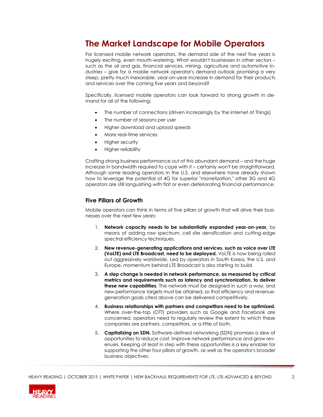## **The Market Landscape for Mobile Operators**

For licensed mobile network operators, the demand side of the next five years is hugely exciting, even mouth-watering. What wouldn't businesses in other sectors – such as the oil and gas, financial services, mining, agriculture and automotive industries – give for a mobile network operator's demand outlook promising a very steep, pretty much inexorable, year-on-year increase in demand for their products and services over the coming five years and beyond?

Specifically, licensed mobile operators can look forward to strong growth in demand for all of the following:

- The number of connections (driven increasingly by the Internet of Things)
- The number of sessions per user
- Higher download and upload speeds
- More real-time services
- Higher security
- Higher reliability

Crafting strong business performance out of this abundant demand – and the huge increase in bandwidth required to cope with it – certainly won't be straightforward. Although some leading operators in the U.S. and elsewhere have already shown how to leverage the potential of 4G for superior "monetization," other 3G and 4G operators are still languishing with flat or even deteriorating financial performance.

#### **Five Pillars of Growth**

Mobile operators can think in terms of five pillars of growth that will drive their businesses over the next few years:

- 1. **Network capacity needs to be substantially expanded year-on-year,** by means of adding raw spectrum, cell site densification and cutting-edge spectral efficiency techniques.
- 2. **New revenue-generating applications and services, such as voice over LTE (VoLTE) and LTE Broadcast, need to be deployed.** VoLTE is now being rolled out aggressively worldwide. Led by operators in South Korea, the U.S. and Europe, momentum behind LTE Broadcast is also starting to build.
- 3. **A step change is needed in network performance, as measured by critical metrics and requirements such as latency and synchronization, to deliver these new capabilities.** The network must be designed in such a way, and new performance targets must be attained, so that efficiency and revenuegeneration goals cited above can be delivered competitively.
- 4. **Business relationships with partners and competitors need to be optimized.** Where over-the-top (OTT) providers such as Google and Facebook are concerned, operators need to regularly review the extent to which these companies are partners, competitors, or a little of both.
- 5. **Capitalizing on SDN.** Software-defined networking (SDN) promises a slew of opportunities to reduce cost, improve network performance and grow revenues. Keeping at least in step with these opportunities is a key enabler for supporting the other four pillars of growth, as well as the operator's broader business objectives.

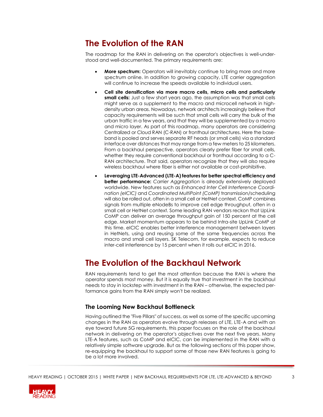# **The Evolution of the RAN**

The roadmap for the RAN in delivering on the operator's objectives is well-understood and well-documented. The primary requirements are:

- **More spectrum:** Operators will inevitably continue to bring more and more spectrum online. In addition to growing capacity, LTE carrier aggregation will continue to increase the speeds available to individual users.
- **Cell site densification via more macro cells, micro cells and particularly small cells:** Just a few short years ago, the assumption was that small cells might serve as a supplement to the macro and microcell network in highdensity urban areas. Nowadays, network architects increasingly believe that capacity requirements will be such that small cells will carry the bulk of the urban traffic in a few years, and that they will be supplemented by a macro and micro layer. As part of this roadmap, many operators are considering Centralized or Cloud RAN (C-RAN) or fronthaul architectures. Here the baseband is pooled and serves separate RF heads (or small cells) via a standard interface over distances that may range from a few meters to 25 kilometers. From a backhaul perspective, operators clearly prefer fiber for small cells, whether they require conventional backhaul or fronthaul according to a C-RAN architecture. That said, operators recognize that they will also require wireless backhaul where fiber is either not available or cost-prohibitive.
- **Leveraging LTE-Advanced (LTE-A) features for better spectral efficiency and better performance:** *Carrier Aggregation* is already extensively deployed worldwide. New features such as *Enhanced Inter Cell Interference Coordination (eICIC)* and *Coordinated MultiPoint (CoMP)* transmission/scheduling will also be rolled out, often in a small cell or HetNet context. CoMP combines signals from multiple eNodeBs to improve cell edge throughput, often in a small cell or HetNet context. Some leading RAN vendors reckon that UpLink CoMP can deliver an average throughput gain of 150 percent at the cell edge. Market momentum appears to be behind Intra-site UpLink CoMP at this time. eICIC enables better interference management between layers in HetNets, using and reusing some of the same frequencies across the macro and small cell layers. SK Telecom, for example, expects to reduce inter-cell interference by 15 percent when it rolls out eICIC in 2016.

# **The Evolution of the Backhaul Network**

RAN requirements tend to get the most attention because the RAN is where the operator spends most money. But it is equally true that investment in the backhaul needs to stay in lockstep with investment in the RAN – otherwise, the expected performance gains from the RAN simply won't be realized.

## **The Looming New Backhaul Bottleneck**

Having outlined the "Five Pillars" of success, as well as some of the specific upcoming changes in the RAN as operators evolve through releases of LTE, LTE-A and with an eye toward future 5G requirements, this paper focuses on the role of the backhaul network in delivering on the operator's objectives over the next five years. Many LTE-A features, such as CoMP and eICIC, can be implemented in the RAN with a relatively simple software upgrade. But as the following sections of this paper show, re-equipping the backhaul to support some of those new RAN features is going to be a lot more involved.

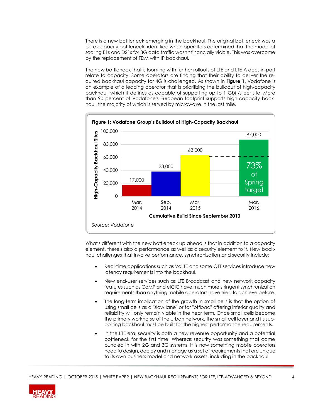There is a new bottleneck emerging in the backhaul. The original bottleneck was a pure capacity bottleneck, identified when operators determined that the model of scaling E1s and DS1s for 3G data traffic wasn't financially viable. This was overcome by the replacement of TDM with IP backhaul.

The new bottleneck that is looming with further rollouts of LTE and LTE-A does in part relate to capacity: Some operators are finding that their ability to deliver the required backhaul capacity for 4G is challenged. As shown in **Figure 1**, Vodafone is an example of a leading operator that is prioritizing the buildout of high-capacity backhaul, which it defines as capable of supporting up to 1 Gbit/s per site. More than 90 percent of Vodafone's European footprint supports high-capacity backhaul, the majority of which is served by microwave in the last mile.



What's different with the new bottleneck up ahead is that in addition to a capacity element, there's also a performance as well as a security element to it. New backhaul challenges that involve performance, synchronization and security include:

- Real-time applications such as VoLTE and some OTT services introduce new latency requirements into the backhaul.
- New end-user services such as LTE Broadcast and new network capacity features such as CoMP and eICIC have much more stringent synchronization requirements than anything mobile operators have tried to achieve before.
- The long-term implication of the growth in small cells is that the option of using small cells as a "slow lane" or for "offload" offering inferior quality and reliability will only remain viable in the near term. Once small cells become the primary workhorse of the urban network, the small cell layer and its supporting backhaul must be built for the highest performance requirements.
- In the LTE era, security is both a new revenue opportunity and a potential bottleneck for the first time. Whereas security was something that came bundled in with 2G and 3G systems, it is now something mobile operators need to design, deploy and manage as a set of requirements that are unique to its own business model and network assets, including in the backhaul.

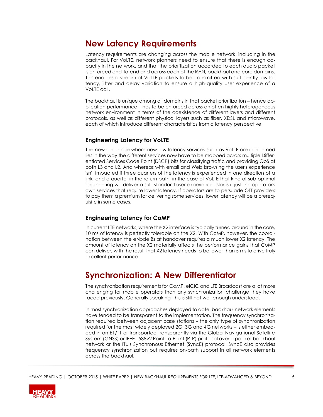## **New Latency Requirements**

Latency requirements are changing across the mobile network, including in the backhaul. For VoLTE, network planners need to ensure that there is enough capacity in the network, and that the prioritization accorded to each audio packet is enforced end-to-end and across each of the RAN, backhaul and core domains. This enables a stream of VoLTE packets to be transmitted with sufficiently low latency, jitter and delay variation to ensure a high-quality user experience of a VoLTE call.

The backhaul is unique among all domains in that packet prioritization – hence application performance – has to be enforced across an often highly heterogeneous network environment in terms of the coexistence of different layers and different protocols, as well as different physical layers such as fiber, XDSL and microwave, each of which introduce different characteristics from a latency perspective.

## **Engineering Latency for VoLTE**

The new challenge where new low-latency services such as VoLTE are concerned lies in the way the different services now have to be mapped across multiple Differentiated Services Code Point (DSCP) bits for classifying traffic and providing QoS at both L3 and L2. And whereas with email and Web browsing the user's experience isn't impacted if three quarters of the latency is experienced in one direction of a link, and a quarter in the return path, in the case of VoLTE that kind of sub-optimal engineering will deliver a sub-standard user experience. Nor is it just the operator's own services that require lower latency. If operators are to persuade OTT providers to pay them a premium for delivering some services, lower latency will be a prerequisite in some cases.

## **Engineering Latency for CoMP**

In current LTE networks, where the X2 interface is typically turned around in the core, 10 ms of latency is perfectly tolerable on the X2. With CoMP, however, the coordination between the eNode Bs at handover requires a much lower X2 latency. The amount of latency on the X2 materially affects the performance gains that CoMP can deliver, with the result that X2 latency needs to be lower than 5 ms to drive truly excellent performance.

## **Synchronization: A New Differentiator**

The synchronization requirements for CoMP, eICIC and LTE Broadcast are a lot more challenging for mobile operators than any synchronization challenge they have faced previously. Generally speaking, this is still not well enough understood.

In most synchronization approaches deployed to date, backhaul network elements have tended to be transparent to the implementation. The frequency synchronization required between adjacent base stations – the only type of synchronization required for the most widely deployed 2G, 3G and 4G networks – is either embedded in an E1/T1 or transported transparently via the Global Navigational Satellite System (GNSS) or IEEE 1588v2 Point-to-Point (PTP) protocol over a packet backhaul network or the ITU's Synchronous Ethernet (SyncE) protocol. SyncE also provides frequency synchronization but requires on-path support in all network elements across the backhaul.

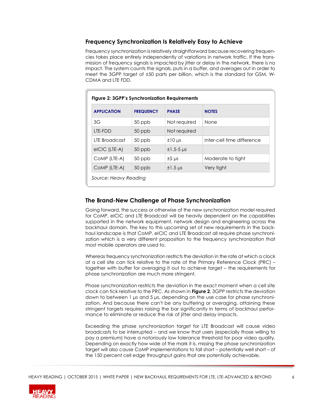### **Frequency Synchronization Is Relatively Easy to Achieve**

Frequency synchronization is relatively straightforward because recovering frequencies takes place entirely independently of variations in network traffic. If the transmission of frequency signals is impacted by jitter or delay in the network, there is no impact. The system counts the signals, puts in a buffer, and averages out in order to meet the 3GPP target of ±50 parts per billion, which is the standard for GSM, W-CDMA and LTE FDD.

| Figure 2: 3GPP's Synchronization Requirements |                  |                |                            |
|-----------------------------------------------|------------------|----------------|----------------------------|
| <b>APPLICATION</b>                            | <b>FREQUENCY</b> | <b>PHASE</b>   | <b>NOTES</b>               |
| 3G                                            | $50$ ppb         | Not required   | <b>None</b>                |
| LTE-FDD                                       | 50 ppb           | Not required   |                            |
| <b>ITE Broadcast</b>                          | $50$ ppb         | $±10 \mu s$    | Inter-cell time difference |
| eICIC (LTE-A)                                 | 50 ppb           | $±1.5-5 \mu s$ |                            |
| COMP (LTE-A)                                  | $50$ ppb         | $±5 \mu s$     | Moderate to tight          |
| COMP (LTE-A)                                  | 50 ppb           | $±1.5 \mu s$   | Very tight                 |

### **The Brand-New Challenge of Phase Synchronization**

Going forward, the success or otherwise of the new synchronization model required for CoMP, eICIC and LTE Broadcast will be heavily dependent on the capabilities supported in the network equipment, network design and engineering across the backhaul domain. The key to this upcoming set of new requirements in the backhaul landscape is that CoMP, eICIC and LTE Broadcast all require phase synchronization which is a very different proposition to the frequency synchronization that most mobile operators are used to.

Whereas frequency synchronization restricts the deviation in the rate at which a clock at a cell site can tick relative to the rate of the Primary Reference Clock (PRC) – together with buffer for averaging it out to achieve target – the requirements for phase synchronization are much more stringent.

Phase synchronization restricts the deviation in the exact moment when a cell site clock can tick relative to the PRC. As shown in **Figure 2**, 3GPP restricts the deviation down to between 1 μs and 5 μs, depending on the use case for phase synchronization. And because there can't be any buffering or averaging, attaining these stringent targets requires raising the bar significantly in terms of backhaul performance to eliminate or reduce the risk of jitter and delay impacts.

Exceeding the phase synchronization target for LTE Broadcast will cause video broadcasts to be interrupted – and we know that users (especially those willing to pay a premium) have a notoriously low tolerance threshold for poor video quality. Depending on exactly how wide of the mark it is, missing the phase synchronization target will also cause CoMP implementations to fall short – potentially well short – of the 150 percent cell edge throughput gains that are potentially achievable.

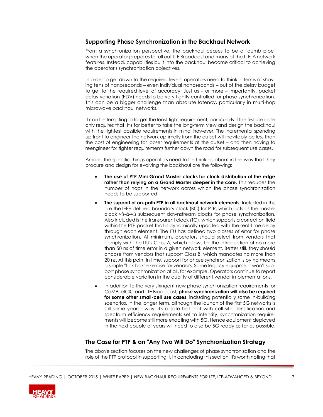### **Supporting Phase Synchronization in the Backhaul Network**

From a synchronization perspective, the backhaul ceases to be a "dumb pipe" when the operator prepares to roll out LTE Broadcast and many of the LTE-A network features. Instead, capabilities built into the backhaul become critical to achieving the operator's synchronization objectives.

In order to get down to the required levels, operators need to think in terms of shaving tens of nanoseconds – even individual nanoseconds – out of the delay budget to get to the required level of accuracy. Just as – or more – importantly, packet delay variation (PDV) needs to be very tightly controlled for phase synchronization. This can be a bigger challenge than absolute latency, particularly in multi-hop microwave backhaul networks.

It can be tempting to target the least tight requirement, particularly if the first use case only requires that. It's far better to take the long-term view and design the backhaul with the tightest possible requirements in mind, however. The incremental spending up front to engineer the network optimally from the outset will inevitably be less than the cost of engineering for looser requirements at the outset – and then having to reengineer for tighter requirements further down the road for subsequent use cases.

Among the specific things operators need to be thinking about in the way that they procure and design for evolving the backhaul are the following:

- **The use of PTP Mini Grand Master clocks for clock distribution at the edge rather than relying on a Grand Master deeper in the core.** This reduces the number of hops in the network across which the phase synchronization needs to be supported.
- **The support of on-path PTP in all backhaul network elements.** Included in this are the IEEE-defined boundary clock (BC) for PTP, which acts as the master clock *vis-à-vis* subsequent downstream clocks for phase synchronization. Also included is the transparent clock (TC), which supports a correction field within the PTP packet that is dynamically updated with the real-time delay through each element. The ITU has defined two classes of error for phase synchronization. At minimum, operators should select from vendors that comply with the ITU's Class A, which allows for the introduction of no more than 50 ns of time error in a given network element. Better still, they should choose from vendors that support Class B, which mandates no more than 20 ns. At this point in time, support for phase synchronization is by no means a simple "tick box" exercise for vendors. Some legacy equipment won't support phase synchronization at all, for example. Operators continue to report considerable variation in the quality of different vendor implementations.
- In addition to the very stringent new phase synchronization requirements for CoMP, eICIC and LTE Broadcast, **phase synchronization will also be required for some other small-cell use cases**, including potentially some in-building scenarios. In the longer term, although the launch of the first 5G networks is still some years away, it's a safe bet that with cell site densification and spectrum efficiency requirements set to intensify, synchronization requirements will become still more exacting with 5G. Hence equipment deployed in the next couple of years will need to also be 5G-ready as far as possible.

## **The Case for PTP & an "Any Two Will Do" Synchronization Strategy**

The above section focuses on the new challenges of phase synchronization and the role of the PTP protocol in supporting it. In concluding this section, it's worth noting that

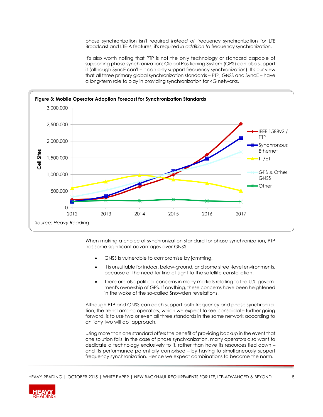phase synchronization isn't required *instead of* frequency synchronization for LTE Broadcast and LTE-A features; it's required *in addition to* frequency synchronization.

It's also worth noting that PTP is not the only technology or standard capable of supporting phase synchronization: Global Positioning System (GPS) can also support it (although SyncE can't - it can only support frequency synchronization). It's our view that all three primary global synchronization standards – PTP, GNSS and SyncE – have a long-term role to play in providing synchronization for 4G networks.



When making a choice of synchronization standard for phase synchronization, PTP has some significant advantages over GNSS:

- GNSS is vulnerable to compromise by jamming.
- It is unsuitable for indoor, below-ground, and some street-level environments, because of the need for line-of-sight to the satellite constellation.
- There are also political concerns in many markets relating to the U.S. government's ownership of GPS. If anything, these concerns have been heightened in the wake of the so-called Snowden revelations.

Although PTP and GNSS can each support both frequency and phase synchronization, the trend among operators, which we expect to see consolidate further going forward, is to use two or even all three standards in the same network according to an "any two will do" approach.

Using more than one standard offers the benefit of providing backup in the event that one solution fails. In the case of phase synchronization, many operators also want to dedicate a technology exclusively to it, rather than have its resources tied down – and its performance potentially comprised – by having to simultaneously support frequency synchronization. Hence we expect combinations to become the norm.

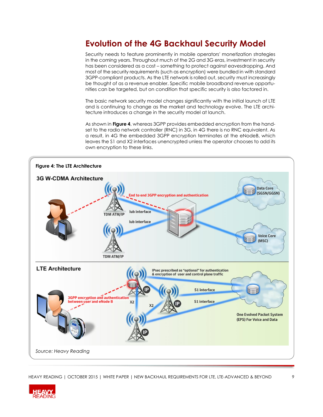# **Evolution of the 4G Backhaul Security Model**

Security needs to feature prominently in mobile operators' monetization strategies in the coming years. Throughout much of the 2G and 3G eras, investment in security has been considered as a cost – something to protect against eavesdropping. And most of the security requirements (such as encryption) were bundled in with standard 3GPP-compliant products. As the LTE network is rolled out, security must increasingly be thought of as a revenue enabler. Specific mobile broadband revenue opportunities can be targeted, but on condition that specific security is also factored in.

The basic network security model changes significantly with the initial launch of LTE and is continuing to change as the market and technology evolve. The LTE architecture introduces a change in the security model at launch.

As shown in **Figure 4**, whereas 3GPP provides embedded encryption from the handset to the radio network controller (RNC) in 3G, in 4G there is no RNC equivalent. As a result, in 4G the embedded 3GPP encryption terminates at the eNodeB, which leaves the S1 and X2 interfaces unencrypted unless the operator chooses to add its own encryption to these links.



HEAVY READING | OCTOBER 2015 | WHITE PAPER | NEW BACKHAUL REQUIREMENTS FOR LTE, LTE-ADVANCED & BEYOND 9

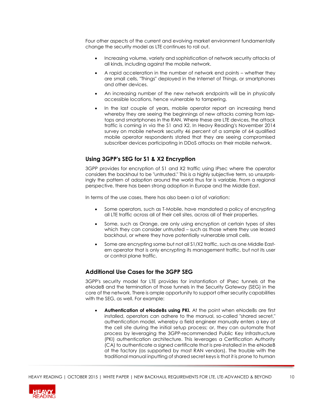Four other aspects of the current and evolving market environment fundamentally change the security model as LTE continues to roll out.

- Increasing volume, variety and sophistication of network security attacks of all kinds, including against the mobile network.
- A rapid acceleration in the number of network end points whether they are small cells, "Things" deployed in the Internet of Things, or smartphones and other devices.
- An increasing number of the new network endpoints will be in physically accessible locations, hence vulnerable to tampering.
- In the last couple of years, mobile operator report an increasing trend whereby they are seeing the beginnings of new attacks coming from laptops and smartphones in the RAN. Where these are LTE devices, the attack traffic is coming in via the S1 and X2. In Heavy Reading's November 2014 survey on mobile network security 46 percent of a sample of 64 qualified mobile operator respondents stated that they are seeing compromised subscriber devices participating in DDoS attacks on their mobile network.

## **Using 3GPP's SEG for S1 & X2 Encryption**

3GPP provides for encryption of S1 and X2 traffic using IPsec where the operator considers the backhaul to be "untrusted." This is a highly subjective term, so unsurprisingly the pattern of adoption around the world thus far is variable. From a regional perspective, there has been strong adoption in Europe and the Middle East.

In terms of the use cases, there has also been a lot of variation:

- Some operators, such as T-Mobile, have mandated a policy of encrypting all LTE traffic across all of their cell sites, across all of their properties.
- Some, such as Orange, are only using encryption at certain types of sites which they can consider untrusted – such as those where they use leased backhaul, or where they have potentially vulnerable small cells.
- Some are encrypting some but not all S1/X2 traffic, such as one Middle Eastern operator that is only encrypting its management traffic, but not its user or control plane traffic.

## **Additional Use Cases for the 3GPP SEG**

3GPP's security model for LTE provides for instantiation of IPsec tunnels at the eNodeB and the termination of those tunnels in the Security Gateway (SEG) in the core of the network. There is ample opportunity to support other security capabilities with the SEG, as well. For example:

 **Authentication of eNodeBs using PKI.** At the point when eNodeBs are first installed, operators can adhere to the manual, so-called "shared secret," authentication model, whereby a field engineer manually enters a key at the cell site during the initial setup process; or, they can automate that process by leveraging the 3GPP-recommended Public Key Infrastructure (PKI) authentication architecture. This leverages a Certification Authority (CA) to authenticate a signed certificate that is pre-installed in the eNodeB at the factory (as supported by most RAN vendors). The trouble with the traditional manual inputting of shared secret keys is that it is prone to human

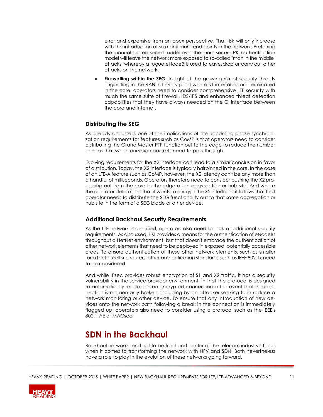error and expensive from an opex perspective. That risk will only increase with the introduction of so many more end points in the network. Preferring the manual shared secret model over the more secure PKI authentication model will leave the network more exposed to so-called "man in the middle" attacks, whereby a rogue eNodeB is used to eavesdrop or carry out other attacks on the network.

**Firewalling within the SEG.** In light of the growing risk of security threats originating in the RAN, at every point where S1 interfaces are terminated in the core, operators need to consider comprehensive LTE security with much the same suite of firewall, IDS/IPS and enhanced threat detection capabilities that they have always needed on the Gi interface between the core and Internet.

## **Distributing the SEG**

As already discussed, one of the implications of the upcoming phase synchronization requirements for features such as CoMP is that operators need to consider distributing the Grand Master PTP function out to the edge to reduce the number of hops that synchronization packets need to pass through.

Evolving requirements for the X2 interface can lead to a similar conclusion in favor of distribution. Today, the X2 interface is typically hairpinned in the core. In the case of an LTE-A feature such as CoMP, however, the X2 latency can't be any more than a handful of milliseconds. Operators therefore need to consider pushing the X2 processing out from the core to the edge at an aggregation or hub site. And where the operator determines that it wants to encrypt the X2 interface, it follows that that operator needs to distribute the SEG functionality out to that same aggregation or hub site in the form of a SEG blade or other device.

## **Additional Backhaul Security Requirements**

As the LTE network is densified, operators also need to look at additional security requirements. As discussed, PKI provides a means for the authentication of eNodeBs throughout a HetNet environment, but that doesn't embrace the authentication of other network elements that need to be deployed in exposed, potentially accessible areas. To ensure authentication of these other network elements, such as smaller form factor cell site routers, other authentication standards such as IEEE 802.1x need to be considered.

And while IPsec provides robust encryption of S1 and X2 traffic, it has a security vulnerability in the service provider environment, in that the protocol is designed to automatically reestablish an encrypted connection in the event that the connection is momentarily broken, including by an attacker seeking to introduce a network monitoring or other device. To ensure that any introduction of new devices onto the network path following a break in the connection is immediately flagged up, operators also need to consider using a protocol such as the IEEE's 802.1 AE or MACsec.

## **SDN in the Backhaul**

Backhaul networks tend not to be front and center of the telecom industry's focus when it comes to transforming the network with NFV and SDN. Both nevertheless have a role to play in the evolution of these networks going forward.

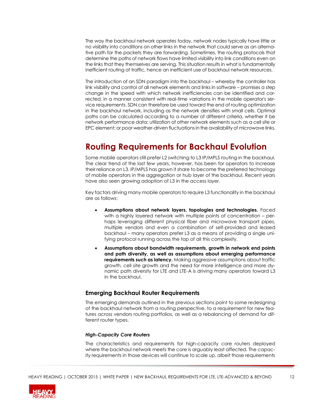The way the backhaul network operates today, network nodes typically have little or no visibility into conditions on other links in the network that could serve as an alternative path for the packets they are forwarding. Sometimes, the routing protocols that determine the paths of network flows have limited visibility into link conditions even on the links that they themselves are serving. This situation results in what is fundamentally inefficient routing of traffic, hence an inefficient use of backhaul network resources.

The introduction of an SDN paradigm into the backhaul – whereby the controller has link visibility and control of all network elements and links in software – promises a step change in the speed with which network inefficiencies can be identified and corrected, in a manner consistent with real-time variations in the mobile operator's service requirements. SDN can therefore be used toward the end of routing optimization in the backhaul network, including as the network densifies with small cells. Optimal paths can be calculated according to a number of different criteria, whether it be network performance data; utilization of other network elements such as a cell site or EPC element; or poor weather-driven fluctuations in the availability of microwave links.

# **Routing Requirements for Backhaul Evolution**

Some mobile operators still prefer L2 switching to L3 IP/MPLS routing in the backhaul. The clear trend of the last few years, however, has been for operators to increase their reliance on L3. IP/MPLS has grown it share to become the preferred technology of mobile operators in the aggregation or hub layer of the backhaul. Recent years have also seen growing adoption of L3 in the access layer.

Key factors driving many mobile operators to require L3 functionality in the backhaul are as follows:

- **Assumptions about network layers, topologies and technologies.** Faced with a highly layered network with multiple points of concentration – perhaps leveraging different physical fiber and microwave transport pipes, multiple vendors and even a combination of self-provided and leased backhaul – many operators prefer L3 as a means of providing a single unifying protocol running across the top of all this complexity.
- **Assumptions about bandwidth requirements, growth in network end points and path diversity, as well as assumptions about emerging performance requirements such as latency.** Making aggressive assumptions about traffic growth, cell site growth and the need for more intelligence and more dynamic path diversity for LTE and LTE-A is driving many operators toward L3 in the backhaul.

### **Emerging Backhaul Router Requirements**

The emerging demands outlined in the previous sections point to some redesigning of the backhaul network from a routing perspective, to a requirement for new features across vendors routing portfolios, as well as a rebalancing of demand for different router types.

#### *High-Capacity Core Routers*

The characteristics and requirements for high-capacity core routers deployed where the backhaul network meets the core is arguably least affected. The capacity requirements in those devices will continue to scale up, albeit those requirements

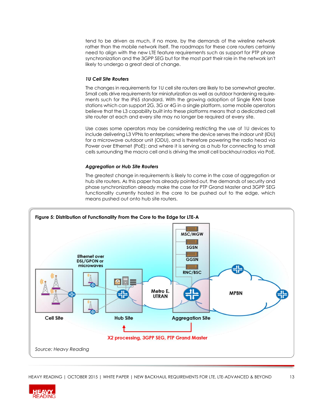tend to be driven as much, if no more, by the demands of the wireline network rather than the mobile network itself. The roadmaps for these core routers certainly need to align with the new LTE feature requirements such as support for PTP phase synchronization and the 3GPP SEG but for the most part their role in the network isn't likely to undergo a great deal of change.

#### *1U Cell Site Routers*

The changes in requirements for 1U cell site routers are likely to be somewhat greater. Small cells drive requirements for miniaturization as well as outdoor hardening requirements such for the IP65 standard. With the growing adoption of Single RAN base stations which can support 2G, 3G or 4G in a single platform, some mobile operators believe that the L3 capability built into these platforms means that a dedicated cell site router at each and every site may no longer be required at every site.

Use cases some operators may be considering restricting the use of 1U devices to include delivering L3 VPNs to enterprises; where the device serves the indoor unit (IDU) for a microwave outdoor unit (ODU), and is therefore powering the radio head via Power over Ethernet (PoE); and where it is serving as a hub for connecting to small cells surrounding the macro cell and is driving the small cell backhaul radios via PoE.

#### *Aggregation or Hub Site Routers*

The greatest change in requirements is likely to come in the case of aggregation or hub site routers. As this paper has already pointed out, the demands of security and phase synchronization already make the case for PTP Grand Master and 3GPP SEG functionality currently hosted in the core to be pushed out to the edge, which means pushed out onto hub site routers.



HEAVY READING | OCTOBER 2015 | WHITE PAPER | NEW BACKHAUL REQUIREMENTS FOR LTE, LTE-ADVANCED & BEYOND 13